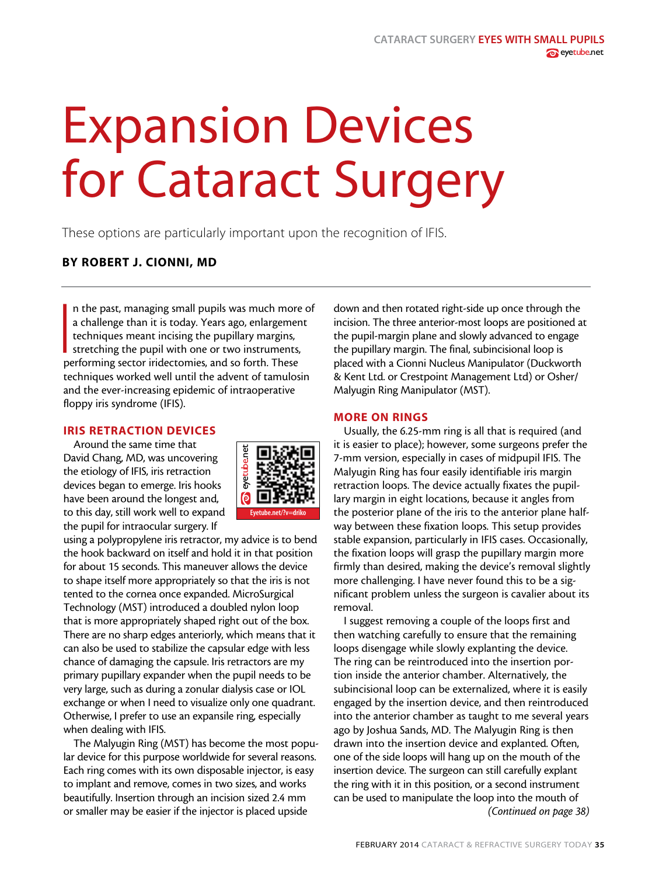# Expansion Devices for Cataract Surgery

These options are particularly important upon the recognition of IFIS.

# BY ROBERT J. CIONNI, MD

In the past, managing small pupils was much more<br>a challenge than it is today. Years ago, enlargemer<br>techniques meant incising the pupillary margins,<br>stretching the pupil with one or two instruments,<br>performing sector irid n the past, managing small pupils was much more of a challenge than it is today. Years ago, enlargement techniques meant incising the pupillary margins, stretching the pupil with one or two instruments, techniques worked well until the advent of tamulosin and the ever-increasing epidemic of intraoperative floppy iris syndrome (IFIS).

### IRIS RETRACTION DEVICES

Around the same time that David Chang, MD, was uncovering the etiology of IFIS, iris retraction devices began to emerge. Iris hooks have been around the longest and, to this day, still work well to expand the pupil for intraocular surgery. If



using a polypropylene iris retractor, my advice is to bend the hook backward on itself and hold it in that position for about 15 seconds. This maneuver allows the device to shape itself more appropriately so that the iris is not tented to the cornea once expanded. MicroSurgical Technology (MST) introduced a doubled nylon loop that is more appropriately shaped right out of the box. There are no sharp edges anteriorly, which means that it can also be used to stabilize the capsular edge with less chance of damaging the capsule. Iris retractors are my primary pupillary expander when the pupil needs to be very large, such as during a zonular dialysis case or IOL exchange or when I need to visualize only one quadrant. Otherwise, I prefer to use an expansile ring, especially when dealing with IFIS.

The Malyugin Ring (MST) has become the most popular device for this purpose worldwide for several reasons. Each ring comes with its own disposable injector, is easy to implant and remove, comes in two sizes, and works beautifully. Insertion through an incision sized 2.4 mm or smaller may be easier if the injector is placed upside

down and then rotated right-side up once through the incision. The three anterior-most loops are positioned at the pupil-margin plane and slowly advanced to engage the pupillary margin. The final, subincisional loop is placed with a Cionni Nucleus Manipulator (Duckworth & Kent Ltd. or Crestpoint Management Ltd) or Osher/ Malyugin Ring Manipulator (MST).

### MORE ON RINGS

Usually, the 6.25-mm ring is all that is required (and it is easier to place); however, some surgeons prefer the 7-mm version, especially in cases of midpupil IFIS. The Malyugin Ring has four easily identifiable iris margin retraction loops. The device actually fixates the pupillary margin in eight locations, because it angles from the posterior plane of the iris to the anterior plane halfway between these fixation loops. This setup provides stable expansion, particularly in IFIS cases. Occasionally, the fixation loops will grasp the pupillary margin more firmly than desired, making the device's removal slightly more challenging. I have never found this to be a significant problem unless the surgeon is cavalier about its removal.

I suggest removing a couple of the loops first and then watching carefully to ensure that the remaining loops disengage while slowly explanting the device. The ring can be reintroduced into the insertion portion inside the anterior chamber. Alternatively, the subincisional loop can be externalized, where it is easily engaged by the insertion device, and then reintroduced into the anterior chamber as taught to me several years ago by Joshua Sands, MD. The Malyugin Ring is then drawn into the insertion device and explanted. Often, one of the side loops will hang up on the mouth of the insertion device. The surgeon can still carefully explant the ring with it in this position, or a second instrument can be used to manipulate the loop into the mouth of *(Continued on page 38)*